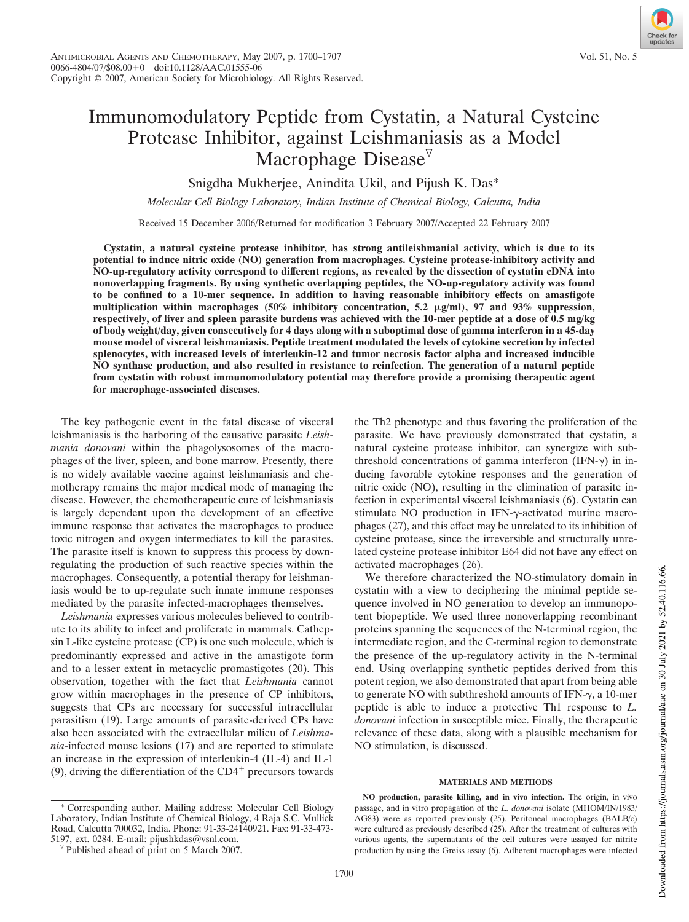# Immunomodulatory Peptide from Cystatin, a Natural Cysteine Protease Inhibitor, against Leishmaniasis as a Model Macrophage Disease $\mathbb{V}$

Snigdha Mukherjee, Anindita Ukil, and Pijush K. Das\*

*Molecular Cell Biology Laboratory, Indian Institute of Chemical Biology, Calcutta, India*

Received 15 December 2006/Returned for modification 3 February 2007/Accepted 22 February 2007

**Cystatin, a natural cysteine protease inhibitor, has strong antileishmanial activity, which is due to its potential to induce nitric oxide (NO) generation from macrophages. Cysteine protease-inhibitory activity and NO-up-regulatory activity correspond to different regions, as revealed by the dissection of cystatin cDNA into nonoverlapping fragments. By using synthetic overlapping peptides, the NO-up-regulatory activity was found to be confined to a 10-mer sequence. In addition to having reasonable inhibitory effects on amastigote** multiplication within macrophages (50% inhibitory concentration, 5.2  $\mu$ g/ml), 97 and 93% suppression, **respectively, of liver and spleen parasite burdens was achieved with the 10-mer peptide at a dose of 0.5 mg/kg of body weight/day, given consecutively for 4 days along with a suboptimal dose of gamma interferon in a 45-day mouse model of visceral leishmaniasis. Peptide treatment modulated the levels of cytokine secretion by infected splenocytes, with increased levels of interleukin-12 and tumor necrosis factor alpha and increased inducible NO synthase production, and also resulted in resistance to reinfection. The generation of a natural peptide from cystatin with robust immunomodulatory potential may therefore provide a promising therapeutic agent for macrophage-associated diseases.**

The key pathogenic event in the fatal disease of visceral leishmaniasis is the harboring of the causative parasite *Leishmania donovani* within the phagolysosomes of the macrophages of the liver, spleen, and bone marrow. Presently, there is no widely available vaccine against leishmaniasis and chemotherapy remains the major medical mode of managing the disease. However, the chemotherapeutic cure of leishmaniasis is largely dependent upon the development of an effective immune response that activates the macrophages to produce toxic nitrogen and oxygen intermediates to kill the parasites. The parasite itself is known to suppress this process by downregulating the production of such reactive species within the macrophages. Consequently, a potential therapy for leishmaniasis would be to up-regulate such innate immune responses mediated by the parasite infected-macrophages themselves.

*Leishmania* expresses various molecules believed to contribute to its ability to infect and proliferate in mammals. Cathepsin L-like cysteine protease (CP) is one such molecule, which is predominantly expressed and active in the amastigote form and to a lesser extent in metacyclic promastigotes (20). This observation, together with the fact that *Leishmania* cannot grow within macrophages in the presence of CP inhibitors, suggests that CPs are necessary for successful intracellular parasitism (19). Large amounts of parasite-derived CPs have also been associated with the extracellular milieu of *Leishmania*-infected mouse lesions (17) and are reported to stimulate an increase in the expression of interleukin-4 (IL-4) and IL-1 (9), driving the differentiation of the  $CD4^+$  precursors towards

\* Corresponding author. Mailing address: Molecular Cell Biology Laboratory, Indian Institute of Chemical Biology, 4 Raja S.C. Mullick Road, Calcutta 700032, India. Phone: 91-33-24140921. Fax: 91-33-473- 5197, ext. 0284. E-mail: pijushkdas@vsnl.com.

the Th2 phenotype and thus favoring the proliferation of the parasite. We have previously demonstrated that cystatin, a natural cysteine protease inhibitor, can synergize with subthreshold concentrations of gamma interferon (IFN- $\gamma$ ) in inducing favorable cytokine responses and the generation of nitric oxide (NO), resulting in the elimination of parasite infection in experimental visceral leishmaniasis (6). Cystatin can stimulate NO production in IFN-γ-activated murine macrophages (27), and this effect may be unrelated to its inhibition of cysteine protease, since the irreversible and structurally unrelated cysteine protease inhibitor E64 did not have any effect on activated macrophages (26).

We therefore characterized the NO-stimulatory domain in cystatin with a view to deciphering the minimal peptide sequence involved in NO generation to develop an immunopotent biopeptide. We used three nonoverlapping recombinant proteins spanning the sequences of the N-terminal region, the intermediate region, and the C-terminal region to demonstrate the presence of the up-regulatory activity in the N-terminal end. Using overlapping synthetic peptides derived from this potent region, we also demonstrated that apart from being able to generate NO with subthreshold amounts of IFN- $\gamma$ , a 10-mer peptide is able to induce a protective Th1 response to *L. donovani* infection in susceptible mice. Finally, the therapeutic relevance of these data, along with a plausible mechanism for NO stimulation, is discussed.

## **MATERIALS AND METHODS**

**NO production, parasite killing, and in vivo infection.** The origin, in vivo passage, and in vitro propagation of the *L. donovani* isolate (MHOM/IN/1983/ AG83) were as reported previously (25). Peritoneal macrophages (BALB/c) were cultured as previously described (25). After the treatment of cultures with various agents, the supernatants of the cell cultures were assayed for nitrite production by using the Greiss assay (6). Adherent macrophages were infected

 $\sqrt[p]{}$  Published ahead of print on 5 March 2007.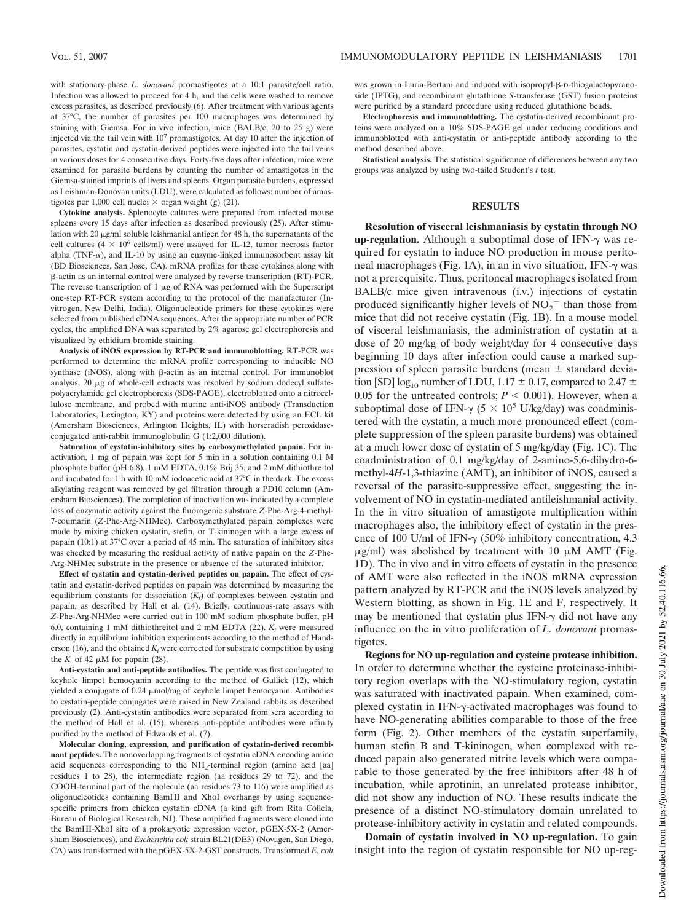with stationary-phase *L. donovani* promastigotes at a 10:1 parasite/cell ratio. Infection was allowed to proceed for 4 h, and the cells were washed to remove excess parasites, as described previously (6). After treatment with various agents at 37°C, the number of parasites per 100 macrophages was determined by staining with Giemsa. For in vivo infection, mice (BALB/c; 20 to 25 g) were injected via the tail vein with  $10<sup>7</sup>$  promastigotes. At day 10 after the injection of parasites, cystatin and cystatin-derived peptides were injected into the tail veins in various doses for 4 consecutive days. Forty-five days after infection, mice were examined for parasite burdens by counting the number of amastigotes in the Giemsa-stained imprints of livers and spleens. Organ parasite burdens, expressed as Leishman-Donovan units (LDU), were calculated as follows: number of amastigotes per 1,000 cell nuclei  $\times$  organ weight (g) (21).

**Cytokine analysis.** Splenocyte cultures were prepared from infected mouse spleens every 15 days after infection as described previously (25). After stimulation with 20  $\mu$ g/ml soluble leishmanial antigen for 48 h, the supernatants of the cell cultures  $(4 \times 10^6 \text{ cells/ml})$  were assayed for IL-12, tumor necrosis factor alpha (TNF- $\alpha$ ), and IL-10 by using an enzyme-linked immunosorbent assay kit (BD Biosciences, San Jose, CA). mRNA profiles for these cytokines along with  $\beta$ -actin as an internal control were analyzed by reverse transcription (RT)-PCR. The reverse transcription of  $1 \mu$ g of RNA was performed with the Superscript one-step RT-PCR system according to the protocol of the manufacturer (Invitrogen, New Delhi, India). Oligonucleotide primers for these cytokines were selected from published cDNA sequences. After the appropriate number of PCR cycles, the amplified DNA was separated by 2% agarose gel electrophoresis and visualized by ethidium bromide staining.

**Analysis of iNOS expression by RT-PCR and immunoblotting.** RT-PCR was performed to determine the mRNA profile corresponding to inducible NO synthase (iNOS), along with  $\beta$ -actin as an internal control. For immunoblot analysis,  $20 \mu g$  of whole-cell extracts was resolved by sodium dodecyl sulfatepolyacrylamide gel electrophoresis (SDS-PAGE), electroblotted onto a nitrocellulose membrane, and probed with murine anti-iNOS antibody (Transduction Laboratories, Lexington, KY) and proteins were detected by using an ECL kit (Amersham Biosciences, Arlington Heights, IL) with horseradish peroxidaseconjugated anti-rabbit immunoglobulin G (1:2,000 dilution).

**Saturation of cystatin-inhibitory sites by carboxymethylated papain.** For inactivation, 1 mg of papain was kept for 5 min in a solution containing 0.1 M phosphate buffer (pH 6.8), 1 mM EDTA, 0.1% Brij 35, and 2 mM dithiothreitol and incubated for 1 h with 10 mM iodoacetic acid at 37°C in the dark. The excess alkylating reagent was removed by gel filtration through a PD10 column (Amersham Biosciences). The completion of inactivation was indicated by a complete loss of enzymatic activity against the fluorogenic substrate *Z*-Phe-Arg-4-methyl-7-coumarin (*Z*-Phe-Arg-NHMec). Carboxymethylated papain complexes were made by mixing chicken cystatin, stefin, or T-kininogen with a large excess of papain (10:1) at 37°C over a period of 45 min. The saturation of inhibitory sites was checked by measuring the residual activity of native papain on the *Z*-Phe-Arg-NHMec substrate in the presence or absence of the saturated inhibitor.

**Effect of cystatin and cystatin-derived peptides on papain.** The effect of cystatin and cystatin-derived peptides on papain was determined by measuring the equilibrium constants for dissociation (*K<sup>i</sup>* ) of complexes between cystatin and papain, as described by Hall et al. (14). Briefly, continuous-rate assays with *Z*-Phe-Arg-NHMec were carried out in 100 mM sodium phosphate buffer, pH 6.0, containing 1 mM dithiothreitol and 2 mM EDTA (22). *K<sup>i</sup>* were measured directly in equilibrium inhibition experiments according to the method of Handerson (16), and the obtained  $K_i$  were corrected for substrate competition by using the  $K_i$  of 42  $\mu$ M for papain (28).

**Anti-cystatin and anti-peptide antibodies.** The peptide was first conjugated to keyhole limpet hemocyanin according to the method of Gullick (12), which yielded a conjugate of 0.24  $\mu$ mol/mg of keyhole limpet hemocyanin. Antibodies to cystatin-peptide conjugates were raised in New Zealand rabbits as described previously (2). Anti-cystatin antibodies were separated from sera according to the method of Hall et al. (15), whereas anti-peptide antibodies were affinity purified by the method of Edwards et al. (7).

**Molecular cloning, expression, and purification of cystatin-derived recombinant peptides.** The nonoverlapping fragments of cystatin cDNA encoding amino acid sequences corresponding to the NH<sub>2</sub>-terminal region (amino acid [aa] residues 1 to 28), the intermediate region (aa residues 29 to 72), and the COOH-terminal part of the molecule (aa residues 73 to 116) were amplified as oligonucleotides containing BamHI and XhoI overhangs by using sequencespecific primers from chicken cystatin cDNA (a kind gift from Rita Collela, Bureau of Biological Research, NJ). These amplified fragments were cloned into the BamHI-XhoI site of a prokaryotic expression vector, pGEX-5X-2 (Amersham Biosciences), and *Escherichia coli* strain BL21(DE3) (Novagen, San Diego, CA) was transformed with the pGEX-5X-2-GST constructs. Transformed *E. coli*

was grown in Luria-Bertani and induced with isopropyl- $\beta$ -D-thiogalactopyranoside (IPTG), and recombinant glutathione *S*-transferase (GST) fusion proteins were purified by a standard procedure using reduced glutathione beads.

**Electrophoresis and immunoblotting.** The cystatin-derived recombinant proteins were analyzed on a 10% SDS-PAGE gel under reducing conditions and immunoblotted with anti-cystatin or anti-peptide antibody according to the method described above.

**Statistical analysis.** The statistical significance of differences between any two groups was analyzed by using two-tailed Student's *t* test.

## **RESULTS**

**Resolution of visceral leishmaniasis by cystatin through NO** up-regulation. Although a suboptimal dose of IFN- $\gamma$  was required for cystatin to induce NO production in mouse peritoneal macrophages (Fig. 1A), in an in vivo situation, IFN-- was not a prerequisite. Thus, peritoneal macrophages isolated from BALB/c mice given intravenous (i.v.) injections of cystatin produced significantly higher levels of  $NO<sub>2</sub><sup>-</sup>$  than those from mice that did not receive cystatin (Fig. 1B). In a mouse model of visceral leishmaniasis, the administration of cystatin at a dose of 20 mg/kg of body weight/day for 4 consecutive days beginning 10 days after infection could cause a marked suppression of spleen parasite burdens (mean  $\pm$  standard deviation [SD] log<sub>10</sub> number of LDU, 1.17  $\pm$  0.17, compared to 2.47  $\pm$ 0.05 for the untreated controls;  $P \le 0.001$ ). However, when a suboptimal dose of IFN- $\gamma$  (5  $\times$  10<sup>5</sup> U/kg/day) was coadministered with the cystatin, a much more pronounced effect (complete suppression of the spleen parasite burdens) was obtained at a much lower dose of cystatin of 5 mg/kg/day (Fig. 1C). The coadministration of 0.1 mg/kg/day of 2-amino-5,6-dihydro-6 methyl-4*H*-1,3-thiazine (AMT), an inhibitor of iNOS, caused a reversal of the parasite-suppressive effect, suggesting the involvement of NO in cystatin-mediated antileishmanial activity. In the in vitro situation of amastigote multiplication within macrophages also, the inhibitory effect of cystatin in the presence of 100 U/ml of IFN- $\gamma$  (50% inhibitory concentration, 4.3  $\mu$ g/ml) was abolished by treatment with 10  $\mu$ M AMT (Fig. 1D). The in vivo and in vitro effects of cystatin in the presence of AMT were also reflected in the iNOS mRNA expression pattern analyzed by RT-PCR and the iNOS levels analyzed by Western blotting, as shown in Fig. 1E and F, respectively. It may be mentioned that cystatin plus IFN- $\gamma$  did not have any influence on the in vitro proliferation of *L. donovani* promastigotes.

**Regions for NO up-regulation and cysteine protease inhibition.** In order to determine whether the cysteine proteinase-inhibitory region overlaps with the NO-stimulatory region, cystatin was saturated with inactivated papain. When examined, complexed cystatin in IFN- $\gamma$ -activated macrophages was found to have NO-generating abilities comparable to those of the free form (Fig. 2). Other members of the cystatin superfamily, human stefin B and T-kininogen, when complexed with reduced papain also generated nitrite levels which were comparable to those generated by the free inhibitors after 48 h of incubation, while aprotinin, an unrelated protease inhibitor, did not show any induction of NO. These results indicate the presence of a distinct NO-stimulatory domain unrelated to protease-inhibitory activity in cystatin and related compounds.

**Domain of cystatin involved in NO up-regulation.** To gain insight into the region of cystatin responsible for NO up-reg-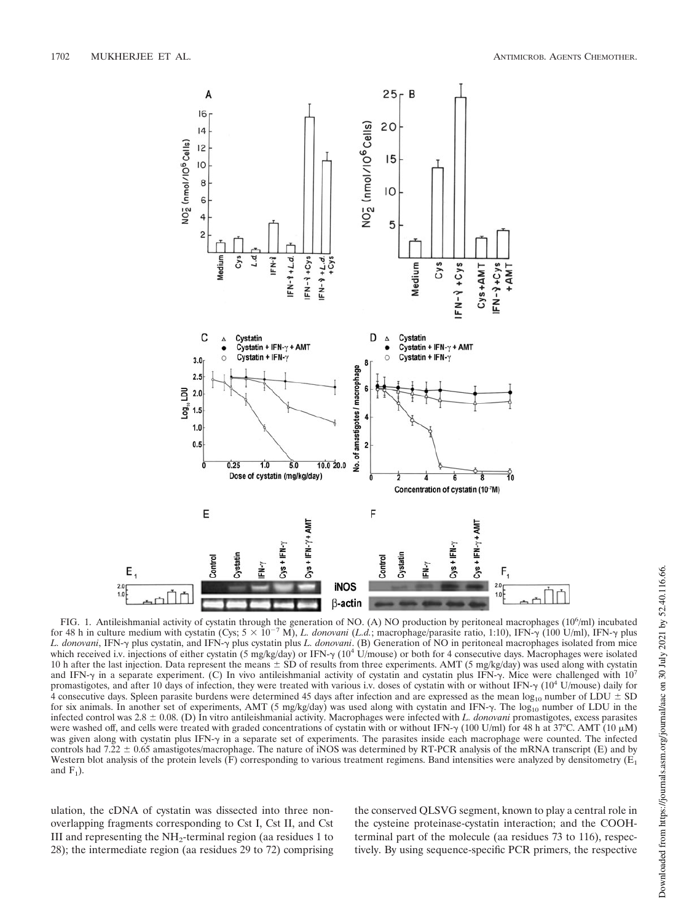

FIG. 1. Antileishmanial activity of cystatin through the generation of NO. (A) NO production by peritoneal macrophages (10<sup>6</sup>/ml) incubated for 48 h in culture medium with cystatin (Cys;  $5 \times 10^{-7}$  M), *L. donovani* (*L.d.*; macrophage/parasite ratio, 1:10), IFN- $\gamma$  (100 U/ml), IFN- $\gamma$  plus L. donovani, IFN- $\gamma$  plus cystatin, and IFN- $\gamma$  plus cystatin plus L. donovani. (B) Generation of NO in peritoneal macrophages isolated from mice which received i.v. injections of either cystatin (5 mg/kg/day) or IFN- $\gamma$  (10<sup>4</sup> U/mouse) or both for 4 consecutive days. Macrophages were isolated 10 h after the last injection. Data represent the means  $\pm$  SD of results from three experiments. AMT (5 mg/kg/day) was used along with cystatin and IFN- $\gamma$  in a separate experiment. (C) In vivo antileishmanial activity of cystatin and cystatin plus IFN- $\gamma$ . Mice were challenged with 10<sup>7</sup> promastigotes, and after 10 days of infection, they were treated with various i.v. doses of cystatin with or without IFN- $\gamma$  (10<sup>4</sup> U/mouse) daily for 4 consecutive days. Spleen parasite burdens were determined 45 days after infection and are expressed as the mean  $log_{10}$  number of LDU  $\pm$  SD for six animals. In another set of experiments, AMT (5 mg/kg/day) was used along with cystatin and IFN- $\gamma$ . The log<sub>10</sub> number of LDU in the infected control was 2.8  $\pm$  0.08. (D) In vitro antileishmanial activity. Macrophages were infected with *L. donovani* promastigotes, excess parasites were washed off, and cells were treated with graded concentrations of cystatin with or without IFN- $\gamma$  (100 U/ml) for 48 h at 37°C. AMT (10  $\mu$ M) was given along with cystatin plus IFN- $\gamma$  in a separate set of experiments. The parasites inside each macrophage were counted. The infected controls had 7.22  $\pm$  0.65 amastigotes/macrophage. The nature of iNOS was determined by RT-PCR analysis of the mRNA transcript (E) and by Western blot analysis of the protein levels (F) corresponding to various treatment regimens. Band intensities were analyzed by densitometry ( $E_1$ ) and  $F_1$ ).

ulation, the cDNA of cystatin was dissected into three nonoverlapping fragments corresponding to Cst I, Cst II, and Cst III and representing the  $NH_2$ -terminal region (aa residues 1 to 28); the intermediate region (aa residues 29 to 72) comprising the conserved QLSVG segment, known to play a central role in the cysteine proteinase-cystatin interaction; and the COOHterminal part of the molecule (aa residues 73 to 116), respectively. By using sequence-specific PCR primers, the respective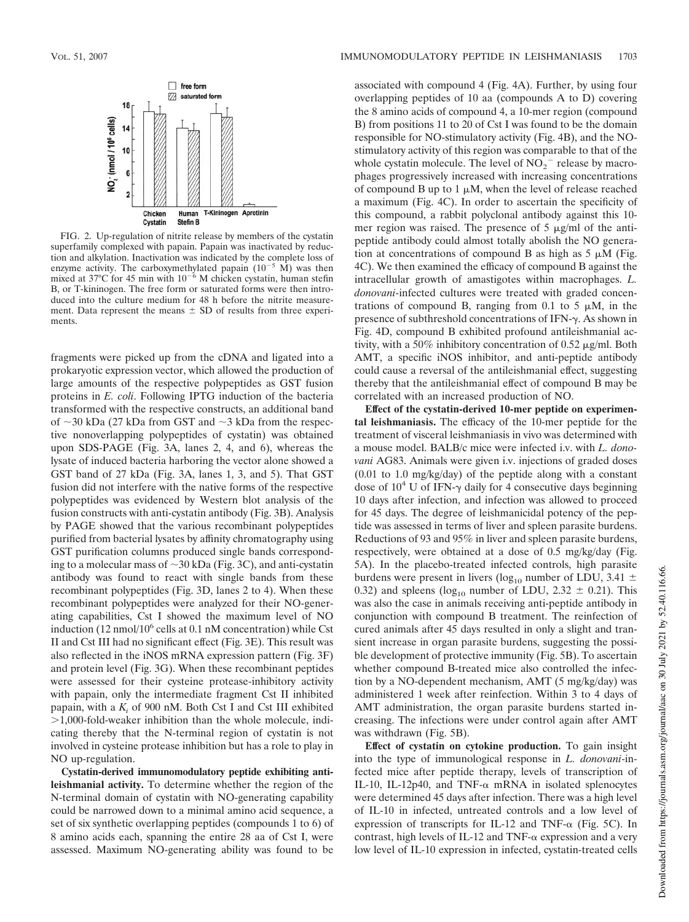

FIG. 2. Up-regulation of nitrite release by members of the cystatin superfamily complexed with papain. Papain was inactivated by reduction and alkylation. Inactivation was indicated by the complete loss of enzyme activity. The carboxymethylated papain  $(10^{-5} \text{ M})$  was then mixed at 37°C for 45 min with  $10^{-6}$  M chicken cystatin, human stefin B, or T-kininogen. The free form or saturated forms were then introduced into the culture medium for 48 h before the nitrite measurement. Data represent the means  $\pm$  SD of results from three experiments.

fragments were picked up from the cDNA and ligated into a prokaryotic expression vector, which allowed the production of large amounts of the respective polypeptides as GST fusion proteins in *E. coli*. Following IPTG induction of the bacteria transformed with the respective constructs, an additional band of 30 kDa (27 kDa from GST and 3 kDa from the respective nonoverlapping polypeptides of cystatin) was obtained upon SDS-PAGE (Fig. 3A, lanes 2, 4, and 6), whereas the lysate of induced bacteria harboring the vector alone showed a GST band of 27 kDa (Fig. 3A, lanes 1, 3, and 5). That GST fusion did not interfere with the native forms of the respective polypeptides was evidenced by Western blot analysis of the fusion constructs with anti-cystatin antibody (Fig. 3B). Analysis by PAGE showed that the various recombinant polypeptides purified from bacterial lysates by affinity chromatography using GST purification columns produced single bands corresponding to a molecular mass of 30 kDa (Fig. 3C), and anti-cystatin antibody was found to react with single bands from these recombinant polypeptides (Fig. 3D, lanes 2 to 4). When these recombinant polypeptides were analyzed for their NO-generating capabilities, Cst I showed the maximum level of NO induction (12 nmol/10<sup>6</sup> cells at 0.1 nM concentration) while Cst II and Cst III had no significant effect (Fig. 3E). This result was also reflected in the iNOS mRNA expression pattern (Fig. 3F) and protein level (Fig. 3G). When these recombinant peptides were assessed for their cysteine protease-inhibitory activity with papain, only the intermediate fragment Cst II inhibited papain, with a  $K_i$  of 900 nM. Both Cst I and Cst III exhibited 1,000-fold-weaker inhibition than the whole molecule, indicating thereby that the N-terminal region of cystatin is not involved in cysteine protease inhibition but has a role to play in NO up-regulation.

**Cystatin-derived immunomodulatory peptide exhibiting antileishmanial activity.** To determine whether the region of the N-terminal domain of cystatin with NO-generating capability could be narrowed down to a minimal amino acid sequence, a set of six synthetic overlapping peptides (compounds 1 to 6) of 8 amino acids each, spanning the entire 28 aa of Cst I, were assessed. Maximum NO-generating ability was found to be

associated with compound 4 (Fig. 4A). Further, by using four overlapping peptides of 10 aa (compounds A to D) covering the 8 amino acids of compound 4, a 10-mer region (compound B) from positions 11 to 20 of Cst I was found to be the domain responsible for NO-stimulatory activity (Fig. 4B), and the NOstimulatory activity of this region was comparable to that of the whole cystatin molecule. The level of  $NO_2^-$  release by macrophages progressively increased with increasing concentrations of compound B up to 1  $\mu$ M, when the level of release reached a maximum (Fig. 4C). In order to ascertain the specificity of this compound, a rabbit polyclonal antibody against this 10 mer region was raised. The presence of  $5 \mu g/ml$  of the antipeptide antibody could almost totally abolish the NO generation at concentrations of compound B as high as  $5 \mu M$  (Fig. 4C). We then examined the efficacy of compound B against the intracellular growth of amastigotes within macrophages. *L. donovani*-infected cultures were treated with graded concentrations of compound B, ranging from 0.1 to 5  $\mu$ M, in the presence of subthreshold concentrations of IFN- $\gamma$ . As shown in Fig. 4D, compound B exhibited profound antileishmanial activity, with a 50% inhibitory concentration of 0.52  $\mu$ g/ml. Both AMT, a specific iNOS inhibitor, and anti-peptide antibody could cause a reversal of the antileishmanial effect, suggesting thereby that the antileishmanial effect of compound B may be correlated with an increased production of NO.

**Effect of the cystatin-derived 10-mer peptide on experimental leishmaniasis.** The efficacy of the 10-mer peptide for the treatment of visceral leishmaniasis in vivo was determined with a mouse model. BALB/c mice were infected i.v. with *L. donovani* AG83. Animals were given i.v. injections of graded doses (0.01 to 1.0 mg/kg/day) of the peptide along with a constant dose of  $10^4$  U of IFN- $\gamma$  daily for 4 consecutive days beginning 10 days after infection, and infection was allowed to proceed for 45 days. The degree of leishmanicidal potency of the peptide was assessed in terms of liver and spleen parasite burdens. Reductions of 93 and 95% in liver and spleen parasite burdens, respectively, were obtained at a dose of 0.5 mg/kg/day (Fig. 5A). In the placebo-treated infected controls, high parasite burdens were present in livers (log<sub>10</sub> number of LDU, 3.41  $\pm$ 0.32) and spleens (log<sub>10</sub> number of LDU, 2.32  $\pm$  0.21). This was also the case in animals receiving anti-peptide antibody in conjunction with compound B treatment. The reinfection of cured animals after 45 days resulted in only a slight and transient increase in organ parasite burdens, suggesting the possible development of protective immunity (Fig. 5B). To ascertain whether compound B-treated mice also controlled the infection by a NO-dependent mechanism, AMT (5 mg/kg/day) was administered 1 week after reinfection. Within 3 to 4 days of AMT administration, the organ parasite burdens started increasing. The infections were under control again after AMT was withdrawn (Fig. 5B).

**Effect of cystatin on cytokine production.** To gain insight into the type of immunological response in *L. donovani*-infected mice after peptide therapy, levels of transcription of IL-10, IL-12p40, and TNF- $\alpha$  mRNA in isolated splenocytes were determined 45 days after infection. There was a high level of IL-10 in infected, untreated controls and a low level of expression of transcripts for IL-12 and TNF- $\alpha$  (Fig. 5C). In contrast, high levels of IL-12 and TNF- $\alpha$  expression and a very low level of IL-10 expression in infected, cystatin-treated cells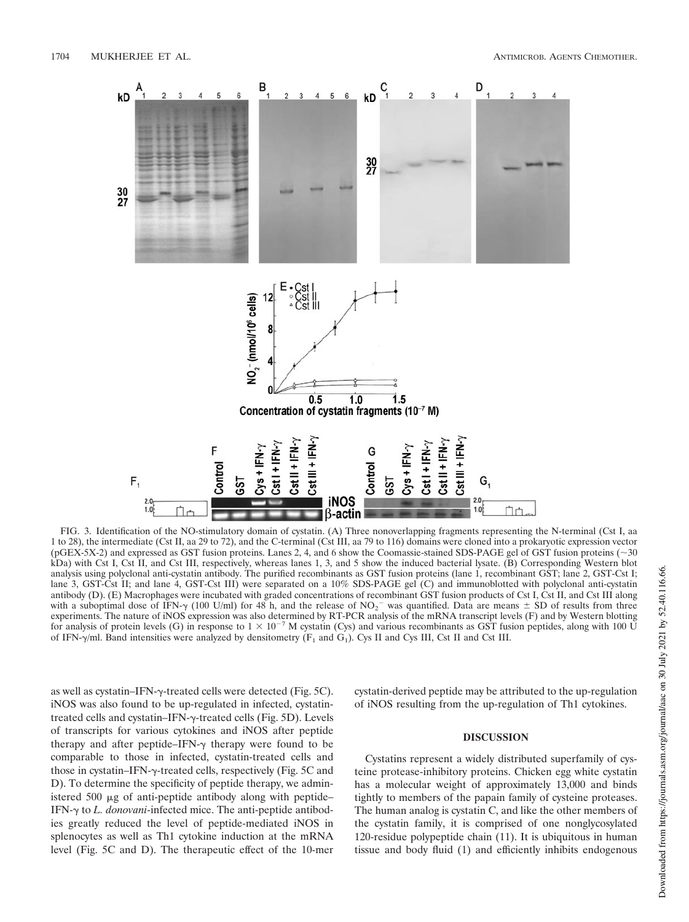

FIG. 3. Identification of the NO-stimulatory domain of cystatin. (A) Three nonoverlapping fragments representing the N-terminal (Cst I, aa 1 to 28), the intermediate (Cst II, aa 29 to 72), and the C-terminal (Cst III, aa 79 to 116) domains were cloned into a prokaryotic expression vector (pGEX-5X-2) and expressed as GST fusion proteins. Lanes 2, 4, and 6 show the Coomassie-stained SDS-PAGE gel of GST fusion proteins ( 30 kDa) with Cst I, Cst II, and Cst III, respectively, whereas lanes 1, 3, and 5 show the induced bacterial lysate. (B) Corresponding Western blot analysis using polyclonal anti-cystatin antibody. The purified recombinants as GST fusion proteins (lane 1, recombinant GST; lane 2, GST-Cst I; lane 3, GST-Cst II; and lane 4, GST-Cst III) were separated on a 10% SDS-PAGE gel (C) and immunoblotted with polyclonal anti-cystatin antibody (D). (E) Macrophages were incubated with graded concentrations of recombinant GST fusion products of Cst I, Cst II, and Cst III along with a suboptimal dose of IFN- $\gamma$  (100 U/ml) for 48 h, and the release of NO<sub>2</sub><sup>-</sup> was quantified. Data are means  $\pm$  SD of results from three experiments. The nature of iNOS expression was also determined by RT-PCR analysis of the mRNA transcript levels (F) and by Western blotting for analysis of protein levels (G) in response to  $1 \times 10^{-7}$  M cystatin (Cys) and various recombinants as GST fusion peptides, along with 100 U of IFN- $\gamma$ /ml. Band intensities were analyzed by densitometry ( $F_1$  and  $G_1$ ). Cys II and Cys III, Cst II and Cst III.

as well as cystatin–IFN- $\gamma$ -treated cells were detected (Fig. 5C). iNOS was also found to be up-regulated in infected, cystatintreated cells and cystatin–IFN-γ-treated cells (Fig. 5D). Levels of transcripts for various cytokines and iNOS after peptide therapy and after peptide–IFN- $\gamma$  therapy were found to be comparable to those in infected, cystatin-treated cells and those in cystatin–IFN- $\gamma$ -treated cells, respectively (Fig. 5C and D). To determine the specificity of peptide therapy, we administered 500  $\mu$ g of anti-peptide antibody along with peptide– IFN- $\gamma$  to *L. donovani*-infected mice. The anti-peptide antibodies greatly reduced the level of peptide-mediated iNOS in splenocytes as well as Th1 cytokine induction at the mRNA level (Fig. 5C and D). The therapeutic effect of the 10-mer

cystatin-derived peptide may be attributed to the up-regulation of iNOS resulting from the up-regulation of Th1 cytokines.

## **DISCUSSION**

Cystatins represent a widely distributed superfamily of cysteine protease-inhibitory proteins. Chicken egg white cystatin has a molecular weight of approximately 13,000 and binds tightly to members of the papain family of cysteine proteases. The human analog is cystatin C, and like the other members of the cystatin family, it is comprised of one nonglycosylated 120-residue polypeptide chain (11). It is ubiquitous in human tissue and body fluid (1) and efficiently inhibits endogenous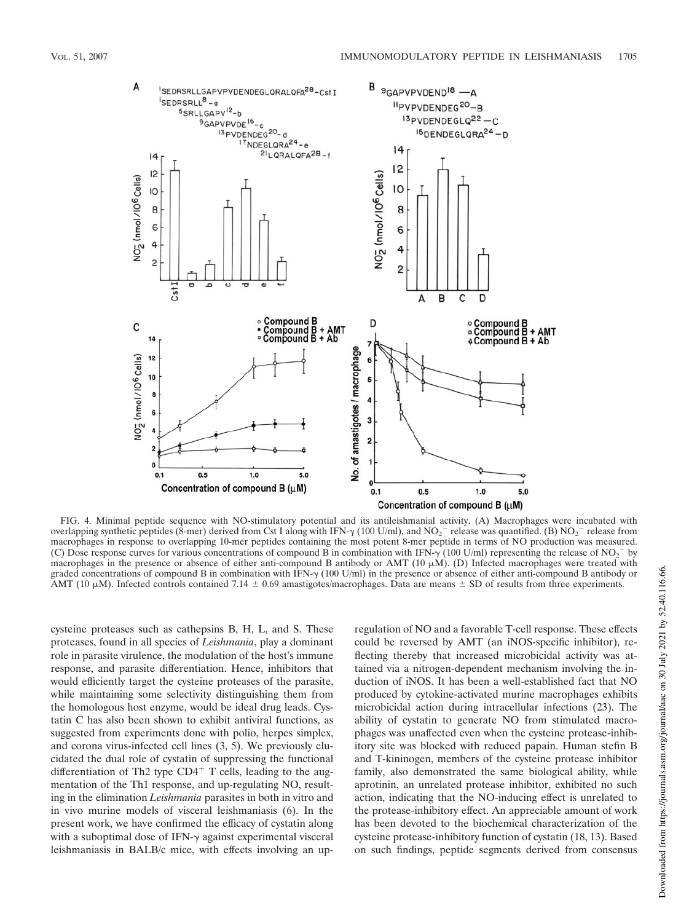

FIG. 4. Minimal peptide sequence with NO-stimulatory potential and its antileishmanial activity. (A) Macrophages were incubated with overlapping synthetic peptides (8-mer) derived from Cst I along with IFN- $\gamma$  (100 U/ml), and NO<sub>2</sub><sup>-</sup> release was quantified. (B) NO<sub>2</sub><sup>-</sup> release from macrophages in response to overlapping 10-mer peptides containing the most potent 8-mer peptide in terms of NO production was measured. (C) Dose response curves for various concentrations of compound B in combination with IFN- $\gamma$  (100 U/ml) representing the release of NO<sub>2</sub><sup>-</sup> by macrophages in the presence or absence of either anti-compound B antibody or AMT (10  $\mu$ M). (D) Infected macrophages were treated with graded concentrations of compound B in combination with IFN- $\gamma$  (100 U/ml) in the presence or absence of either anti-compound B antibody or AMT (10  $\mu$ M). Infected controls contained 7.14  $\pm$  0.69 amastigotes/macrophages. Data are means  $\pm$  SD of results from three experiments.

cysteine proteases such as cathepsins B, H, L, and S. These proteases, found in all species of *Leishmania*, play a dominant role in parasite virulence, the modulation of the host's immune response, and parasite differentiation. Hence, inhibitors that would efficiently target the cysteine proteases of the parasite, while maintaining some selectivity distinguishing them from the homologous host enzyme, would be ideal drug leads. Cystatin C has also been shown to exhibit antiviral functions, as suggested from experiments done with polio, herpes simplex, and corona virus-infected cell lines (3, 5). We previously elucidated the dual role of cystatin of suppressing the functional differentiation of Th2 type  $CD4^+$  T cells, leading to the augmentation of the Th1 response, and up-regulating NO, resulting in the elimination *Leishmania* parasites in both in vitro and in vivo murine models of visceral leishmaniasis (6). In the present work, we have confirmed the efficacy of cystatin along with a suboptimal dose of IFN- $\gamma$  against experimental visceral leishmaniasis in BALB/c mice, with effects involving an upregulation of NO and a favorable T-cell response. These effects could be reversed by AMT (an iNOS-specific inhibitor), reflecting thereby that increased microbicidal activity was attained via a nitrogen-dependent mechanism involving the induction of iNOS. It has been a well-established fact that NO produced by cytokine-activated murine macrophages exhibits microbicidal action during intracellular infections (23). The ability of cystatin to generate NO from stimulated macrophages was unaffected even when the cysteine protease-inhibitory site was blocked with reduced papain. Human stefin B and T-kininogen, members of the cysteine protease inhibitor family, also demonstrated the same biological ability, while aprotinin, an unrelated protease inhibitor, exhibited no such action, indicating that the NO-inducing effect is unrelated to the protease-inhibitory effect. An appreciable amount of work has been devoted to the biochemical characterization of the cysteine protease-inhibitory function of cystatin (18, 13). Based on such findings, peptide segments derived from consensus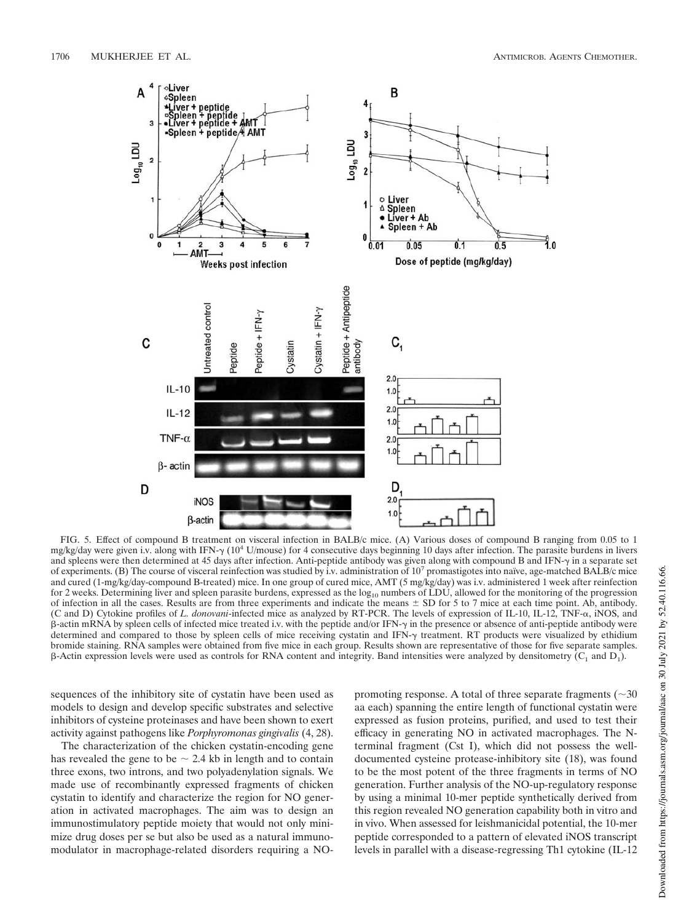

FIG. 5. Effect of compound B treatment on visceral infection in BALB/c mice. (A) Various doses of compound B ranging from 0.05 to 1 mg/kg/day were given i.v. along with IFN- $\gamma$  (10<sup>4</sup> U/mouse) for 4 consecutive days beginning 10 days after infection. The parasite burdens in livers and spleens were then determined at 45 days after infection. Anti-peptide antibody was given along with compound B and IFN- $\gamma$  in a separate set of experiments. (B) The course of visceral reinfection was studied by i.v. administration of 10<sup>7</sup> promastigotes into naıve, age-matched BALB/c mice and cured (1-mg/kg/day-compound B-treated) mice. In one group of cured mice, AMT (5 mg/kg/day) was i.v. administered 1 week after reinfection for 2 weeks. Determining liver and spleen parasite burdens, expressed as the  $log_{10}$  numbers of LDU, allowed for the monitoring of the progression of infection in all the cases. Results are from three experiments and indicate the means  $\pm$  SD for 5 to 7 mice at each time point. Ab, antibody. (C and D) Cytokine profiles of *L. donovani*-infected mice as analyzed by RT-PCR. The levels of expression of IL-10, IL-12, TNF-, iNOS, and β-actin mRNA by spleen cells of infected mice treated i.v. with the peptide and/or IFN- $\gamma$  in the presence or absence of anti-peptide antibody were determined and compared to those by spleen cells of mice receiving cystatin and IFN- $\gamma$  treatment. RT products were visualized by ethidium bromide staining. RNA samples were obtained from five mice in each group. Results shown are representative of those for five separate samples.  $\beta$ -Actin expression levels were used as controls for RNA content and integrity. Band intensities were analyzed by densitometry ( $C_1$  and  $D_1$ ).

sequences of the inhibitory site of cystatin have been used as models to design and develop specific substrates and selective inhibitors of cysteine proteinases and have been shown to exert activity against pathogens like *Porphyromonas gingivalis* (4, 28).

The characterization of the chicken cystatin-encoding gene has revealed the gene to be  $\sim$  2.4 kb in length and to contain three exons, two introns, and two polyadenylation signals. We made use of recombinantly expressed fragments of chicken cystatin to identify and characterize the region for NO generation in activated macrophages. The aim was to design an immunostimulatory peptide moiety that would not only minimize drug doses per se but also be used as a natural immunomodulator in macrophage-related disorders requiring a NO-

promoting response. A total of three separate fragments ( $\sim$ 30 aa each) spanning the entire length of functional cystatin were expressed as fusion proteins, purified, and used to test their efficacy in generating NO in activated macrophages. The Nterminal fragment (Cst I), which did not possess the welldocumented cysteine protease-inhibitory site (18), was found to be the most potent of the three fragments in terms of NO generation. Further analysis of the NO-up-regulatory response by using a minimal 10-mer peptide synthetically derived from this region revealed NO generation capability both in vitro and in vivo. When assessed for leishmanicidal potential, the 10-mer peptide corresponded to a pattern of elevated iNOS transcript levels in parallel with a disease-regressing Th1 cytokine (IL-12